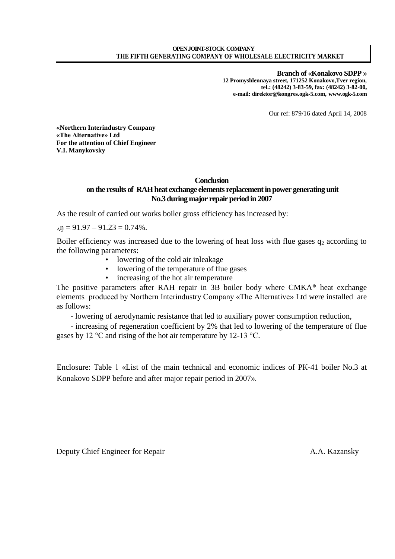**Branch of «Konakovo SDPP » 12 Promyshlennaya street, 171252 Konakovo,Tver region, tel.: (48242) 3-83-59, fax: (48242) 3-82-00, e-mail: direktor@kongres.ogk-5.com, [www.ogk-5.com](http://www.ogk-5.com/)**

Our ref: 879/16 dated April 14, 2008

**«Northern Interindustry Company «The Alternative» Ltd For the attention of Chief Engineer V.I. Manykovsky** 

## **Conclusion on the results of RAH heat exchange elements replacement in power generating unit** No.3 during major repair period in 2007

As the result of carried out works boiler gross efficiency has increased by:

 $_{\Delta}$ n = 91.97 – 91.23 = 0.74%.

Boiler efficiency was increased due to the lowering of heat loss with flue gases  $q_2$  according to the following parameters:

- lowering of the cold air inleakage
- lowering of the temperature of flue gases
- increasing of the hot air temperature

The positive parameters after RAH repair in 3B boiler body where CMKA® heat exchange elements produced by Northern Interindustry Company «The Alternative» Ltd were installed are as follows:

- lowering of aerodynamic resistance that led to auxiliary power consumption reduction,

- increasing of regeneration coefficient by 2% that led to lowering of the temperature of flue gases by 12 °С and rising of the hot air temperature by 12-13 °С.

Enclosure: Table 1 «List of the main technical and economic indices of PК-41 boiler No.3 at Konakovo SDPP before and after major repair period in 2007».

Deputy Chief Engineer for Repair A.A. Kazansky